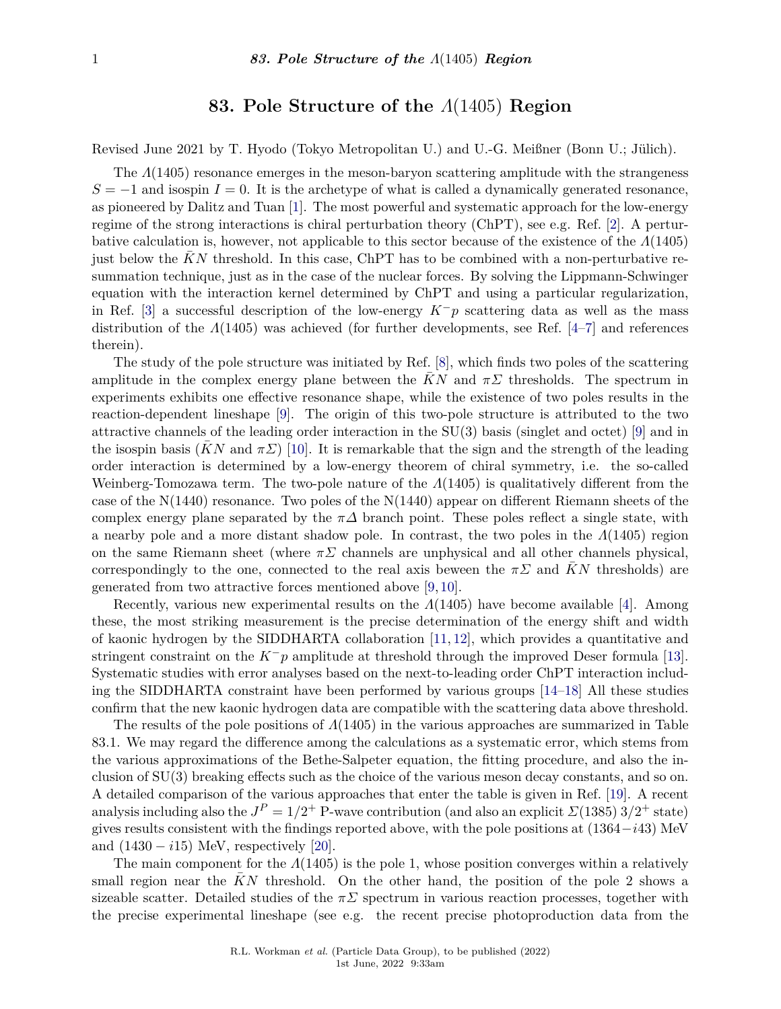## **83. Pole Structure of the** *Λ*(1405) **Region**

Revised June 2021 by T. Hyodo (Tokyo Metropolitan U.) and U.-G. Meißner (Bonn U.; Jülich).

The *Λ*(1405) resonance emerges in the meson-baryon scattering amplitude with the strangeness  $S = -1$  and isospin  $I = 0$ . It is the archetype of what is called a dynamically generated resonance, as pioneered by Dalitz and Tuan [\[1\]](#page-1-0). The most powerful and systematic approach for the low-energy regime of the strong interactions is chiral perturbation theory (ChPT), see e.g. Ref. [\[2\]](#page-1-1). A perturbative calculation is, however, not applicable to this sector because of the existence of the *Λ*(1405) just below the  $KN$  threshold. In this case, ChPT has to be combined with a non-perturbative resummation technique, just as in the case of the nuclear forces. By solving the Lippmann-Schwinger equation with the interaction kernel determined by ChPT and using a particular regularization, in Ref. [\[3\]](#page-1-2) a successful description of the low-energy  $K^-p$  scattering data as well as the mass distribution of the *Λ*(1405) was achieved (for further developments, see Ref. [\[4–](#page-1-3)[7\]](#page-1-4) and references therein).

The study of the pole structure was initiated by Ref. [\[8\]](#page-1-5), which finds two poles of the scattering amplitude in the complex energy plane between the  $KN$  and  $\pi\Sigma$  thresholds. The spectrum in experiments exhibits one effective resonance shape, while the existence of two poles results in the reaction-dependent lineshape [\[9\]](#page-1-6). The origin of this two-pole structure is attributed to the two attractive channels of the leading order interaction in the SU(3) basis (singlet and octet) [\[9\]](#page-1-6) and in the isospin basis (*KN* and  $\pi\Sigma$ ) [\[10\]](#page-1-7). It is remarkable that the sign and the strength of the leading order interaction is determined by a low-energy theorem of chiral symmetry, i.e. the so-called Weinberg-Tomozawa term. The two-pole nature of the *Λ*(1405) is qualitatively different from the case of the N(1440) resonance. Two poles of the N(1440) appear on different Riemann sheets of the complex energy plane separated by the  $\pi\Delta$  branch point. These poles reflect a single state, with a nearby pole and a more distant shadow pole. In contrast, the two poles in the *Λ*(1405) region on the same Riemann sheet (where  $\pi \Sigma$  channels are unphysical and all other channels physical, correspondingly to the one, connected to the real axis beween the  $\pi\Sigma$  and KN thresholds) are generated from two attractive forces mentioned above [\[9,](#page-1-6) [10\]](#page-1-7).

Recently, various new experimental results on the *Λ*(1405) have become available [\[4\]](#page-1-3). Among these, the most striking measurement is the precise determination of the energy shift and width of kaonic hydrogen by the SIDDHARTA collaboration [\[11,](#page-1-8) [12\]](#page-1-9), which provides a quantitative and stringent constraint on the *K*−*p* amplitude at threshold through the improved Deser formula [\[13\]](#page-1-10). Systematic studies with error analyses based on the next-to-leading order ChPT interaction including the SIDDHARTA constraint have been performed by various groups [\[14–](#page-1-11)[18\]](#page-1-12) All these studies confirm that the new kaonic hydrogen data are compatible with the scattering data above threshold.

The results of the pole positions of *Λ*(1405) in the various approaches are summarized in Table 83.1. We may regard the difference among the calculations as a systematic error, which stems from the various approximations of the Bethe-Salpeter equation, the fitting procedure, and also the inclusion of SU(3) breaking effects such as the choice of the various meson decay constants, and so on. A detailed comparison of the various approaches that enter the table is given in Ref. [\[19\]](#page-2-0). A recent analysis including also the  $J^P = 1/2^+$  P-wave contribution (and also an explicit  $\mathcal{L}(1385)$   $3/2^+$  state) gives results consistent with the findings reported above, with the pole positions at (1364−*i*43) MeV and  $(1430 - i15)$  MeV, respectively [\[20\]](#page-2-1).

The main component for the *Λ*(1405) is the pole 1, whose position converges within a relatively small region near the KN threshold. On the other hand, the position of the pole 2 shows a sizeable scatter. Detailed studies of the  $\pi\Sigma$  spectrum in various reaction processes, together with the precise experimental lineshape (see e.g. the recent precise photoproduction data from the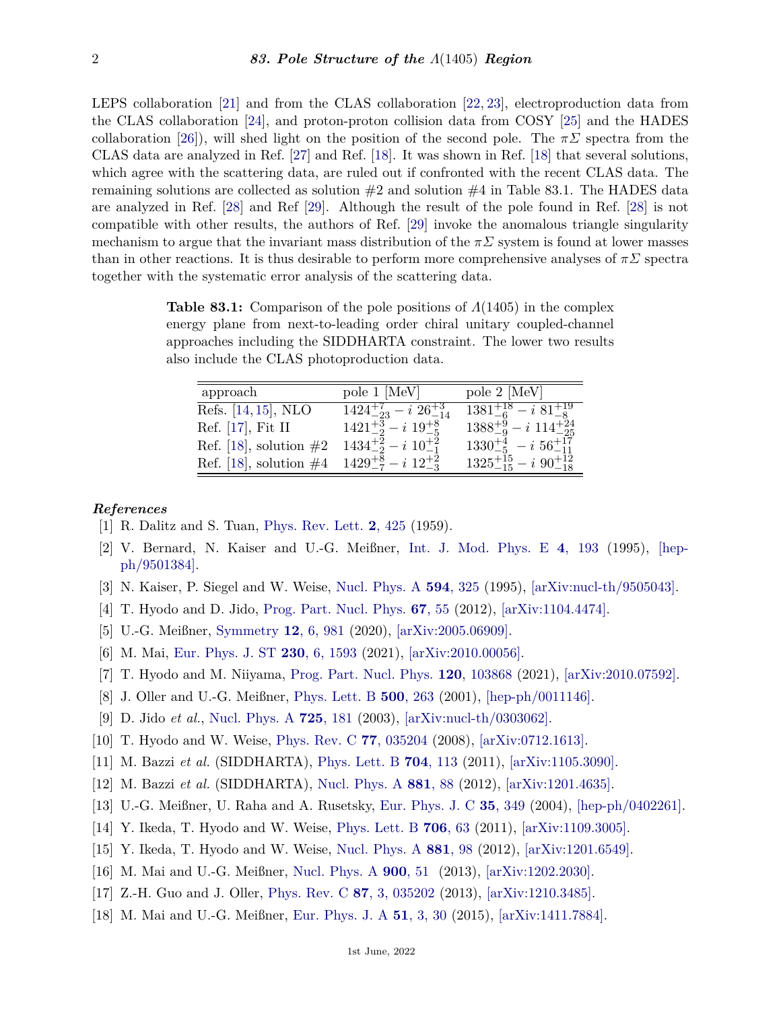LEPS collaboration [\[21\]](#page-2-2) and from the CLAS collaboration [\[22,](#page-2-3) [23\]](#page-2-4), electroproduction data from the CLAS collaboration [\[24\]](#page-2-5), and proton-proton collision data from COSY [\[25\]](#page-2-6) and the HADES collaboration [\[26\]](#page-2-7)), will shed light on the position of the second pole. The  $\pi\Sigma$  spectra from the CLAS data are analyzed in Ref. [\[27\]](#page-2-8) and Ref. [\[18\]](#page-1-12). It was shown in Ref. [\[18\]](#page-1-12) that several solutions, which agree with the scattering data, are ruled out if confronted with the recent CLAS data. The remaining solutions are collected as solution  $#2$  and solution  $#4$  in Table 83.1. The HADES data are analyzed in Ref. [\[28\]](#page-2-9) and Ref [\[29\]](#page-2-10). Although the result of the pole found in Ref. [\[28\]](#page-2-9) is not compatible with other results, the authors of Ref. [\[29\]](#page-2-10) invoke the anomalous triangle singularity mechanism to argue that the invariant mass distribution of the  $\pi \Sigma$  system is found at lower masses than in other reactions. It is thus desirable to perform more comprehensive analyses of *πΣ* spectra together with the systematic error analysis of the scattering data.

**Table 83.1:** Comparison of the pole positions of *Λ*(1405) in the complex energy plane from next-to-leading order chiral unitary coupled-channel approaches including the SIDDHARTA constraint. The lower two results also include the CLAS photoproduction data.

| approach                                                    | pole 1 [MeV]                         | pole 2 [MeV]                            |
|-------------------------------------------------------------|--------------------------------------|-----------------------------------------|
| Refs. [14, 15], NLO                                         | $1424^{+7}_{-23} - i\ 26^{+3}_{-14}$ | $1381_{-6}^{+18} - i\,81_{-8}^{+19}$    |
| Ref. $[17]$ , Fit II                                        | $1421^{+3}_{-2} - i 19^{+8}_{-5}$    | $1388^{+9}_{-9} - i \; 114^{+24}_{-25}$ |
| Ref. [18], solution $\#2$                                   | $1434^{+2}_{-2} - i 10^{+2}_{-1}$    | $1330^{+4}_{-5} - i\; 56^{+17}_{-11}$   |
| Ref. [18], solution $\#4$ $1429^{+8}_{-7} - i 12^{+2}_{-3}$ |                                      | $1325^{+15}_{-15} - i90^{+12}_{-18}$    |

## <span id="page-1-0"></span>*References*

- [1] R. Dalitz and S. Tuan, [Phys. Rev. Lett.](http://doi.org/10.1103/PhysRevLett.2.425) **2**[, 425](http://doi.org/10.1103/PhysRevLett.2.425) (1959).
- <span id="page-1-1"></span>[2] V. Bernard, N. Kaiser and U.-G. Meißner, [Int. J. Mod. Phys. E](http://doi.org/10.1142/S0218301395000092) **4**[, 193](http://doi.org/10.1142/S0218301395000092) (1995), [\[hep](https://arxiv.org/abs/hep-ph/9501384)[ph/9501384\].](https://arxiv.org/abs/hep-ph/9501384)
- <span id="page-1-2"></span>[3] N. Kaiser, P. Siegel and W. Weise, [Nucl. Phys. A](http://doi.org/10.1016/0375-9474(95)00362-5) **594**[, 325](http://doi.org/10.1016/0375-9474(95)00362-5) (1995), [\[arXiv:nucl-th/9505043\].](https://arxiv.org/abs/nucl-th/9505043)
- <span id="page-1-3"></span>[4] T. Hyodo and D. Jido, [Prog. Part. Nucl. Phys.](http://doi.org/10.1016/j.ppnp.2011.07.002) **67**[, 55](http://doi.org/10.1016/j.ppnp.2011.07.002) (2012), [\[arXiv:1104.4474\].](https://arxiv.org/abs/1104.4474)
- [5] U.-G. Meißner, [Symmetry](http://doi.org/10.3390/sym12060981) **12**[, 6, 981](http://doi.org/10.3390/sym12060981) (2020), [\[arXiv:2005.06909\].](https://arxiv.org/abs/2005.06909)
- [6] M. Mai, [Eur. Phys. J. ST](http://doi.org/10.1140/epjs/s11734-021-00144-7) **230**[, 6, 1593](http://doi.org/10.1140/epjs/s11734-021-00144-7) (2021), [\[arXiv:2010.00056\].](https://arxiv.org/abs/2010.00056)
- <span id="page-1-4"></span>[7] T. Hyodo and M. Niiyama, [Prog. Part. Nucl. Phys.](http://doi.org/10.1016/j.ppnp.2011.07.002) **120**[, 103868](http://doi.org/10.1016/j.ppnp.2011.07.002) (2021), [\[arXiv:2010.07592\].](https://arxiv.org/abs/2010.07592)
- <span id="page-1-5"></span>[8] J. Oller and U.-G. Meißner, [Phys. Lett. B](http://doi.org/10.1016/S0370-2693(01)00078-8) **500**[, 263](http://doi.org/10.1016/S0370-2693(01)00078-8) (2001), [\[hep-ph/0011146\].](https://arxiv.org/abs/hep-ph/0011146)
- <span id="page-1-6"></span>[9] D. Jido *et al.*, [Nucl. Phys. A](http://doi.org/10.1016/S0375-9474(03)01598-7) **725**[, 181](http://doi.org/10.1016/S0375-9474(03)01598-7) (2003), [\[arXiv:nucl-th/0303062\].](https://arxiv.org/abs/nucl-th/0303062)
- <span id="page-1-7"></span>[10] T. Hyodo and W. Weise, [Phys. Rev. C](http://doi.org/10.1103/PhysRevC.77.035204) **77**[, 035204](http://doi.org/10.1103/PhysRevC.77.035204) (2008), [\[arXiv:0712.1613\].](https://arxiv.org/abs/0712.1613)
- <span id="page-1-8"></span>[11] M. Bazzi *et al.* (SIDDHARTA), [Phys. Lett. B](http://doi.org/10.1016/j.physletb.2011.09.011) **704**[, 113](http://doi.org/10.1016/j.physletb.2011.09.011) (2011), [\[arXiv:1105.3090\].](https://arxiv.org/abs/1105.3090)
- <span id="page-1-9"></span>[12] M. Bazzi *et al.* (SIDDHARTA), [Nucl. Phys. A](http://doi.org/10.1016/j.nuclphysa.2011.12.008) **[881](http://doi.org/10.1016/j.nuclphysa.2011.12.008)**, 88 (2012), [\[arXiv:1201.4635\].](https://arxiv.org/abs/1201.4635)
- <span id="page-1-11"></span><span id="page-1-10"></span>[13] U.-G. Meißner, U. Raha and A. Rusetsky, [Eur. Phys. J. C](http://doi.org/10.1140/epjc/s2004-01859-4) **35**[, 349](http://doi.org/10.1140/epjc/s2004-01859-4) (2004), [\[hep-ph/0402261\].](https://arxiv.org/abs/hep-ph/0402261)
- [14] Y. Ikeda, T. Hyodo and W. Weise, [Phys. Lett. B](http://doi.org/10.1016/j.physletb.2011.10.068) **[706](http://doi.org/10.1016/j.physletb.2011.10.068)**, 63 (2011), [\[arXiv:1109.3005\].](https://arxiv.org/abs/1109.3005)
- <span id="page-1-13"></span>[15] Y. Ikeda, T. Hyodo and W. Weise, [Nucl. Phys. A](http://doi.org/10.1016/j.nuclphysa.2012.01.029) **[881](http://doi.org/10.1016/j.nuclphysa.2012.01.029)**, 98 (2012), [\[arXiv:1201.6549\].](https://arxiv.org/abs/1201.6549)
- [16] M. Mai and U.-G. Meißner, [Nucl. Phys. A](http://doi.org/10.1016/j.nuclphysa.2013.01.032) **[900](http://doi.org/10.1016/j.nuclphysa.2013.01.032)**, 51 (2013), [\[arXiv:1202.2030\].](https://arxiv.org/abs/1202.2030)
- <span id="page-1-14"></span>[17] Z.-H. Guo and J. Oller, [Phys. Rev. C](http://doi.org/10.1103/PhysRevC.87.035202) **87**[, 3, 035202](http://doi.org/10.1103/PhysRevC.87.035202) (2013), [\[arXiv:1210.3485\].](https://arxiv.org/abs/1210.3485)
- <span id="page-1-12"></span>[18] M. Mai and U.-G. Meißner, [Eur. Phys. J. A](http://doi.org/10.1140/epja/i2015-15030-3) **51**[, 3, 30](http://doi.org/10.1140/epja/i2015-15030-3) (2015), [\[arXiv:1411.7884\].](https://arxiv.org/abs/1411.7884)